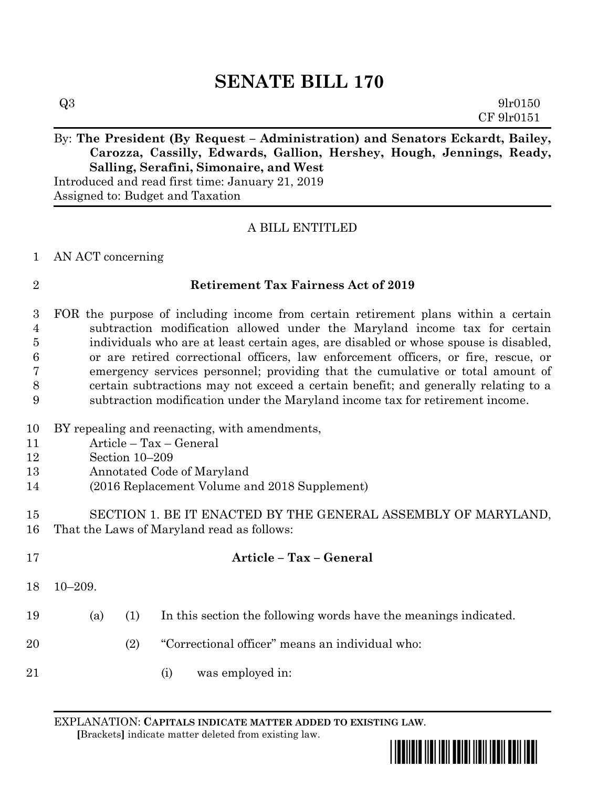# **SENATE BILL 170**

# By: The President (By Request – Administration) and Senators Eckardt, Bailey, **Carozza, Cassilly, Edwards, Gallion, Hershey, Hough, Jennings, Ready, Salling, Serafini, Simonaire, and West**

Introduced and read first time: January 21, 2019 Assigned to: Budget and Taxation

## A BILL ENTITLED

### AN ACT concerning

### **Retirement Tax Fairness Act of 2019**

 FOR the purpose of including income from certain retirement plans within a certain subtraction modification allowed under the Maryland income tax for certain individuals who are at least certain ages, are disabled or whose spouse is disabled, or are retired correctional officers, law enforcement officers, or fire, rescue, or emergency services personnel; providing that the cumulative or total amount of certain subtractions may not exceed a certain benefit; and generally relating to a subtraction modification under the Maryland income tax for retirement income.

#### BY repealing and reenacting, with amendments,

- Article Tax General
- Section 10–209
- Annotated Code of Maryland
- (2016 Replacement Volume and 2018 Supplement)

# SECTION 1. BE IT ENACTED BY THE GENERAL ASSEMBLY OF MARYLAND, That the Laws of Maryland read as follows:

 **Article – Tax – General** 10–209. (a) (1) In this section the following words have the meanings indicated. (2) "Correctional officer" means an individual who: (i) was employed in:

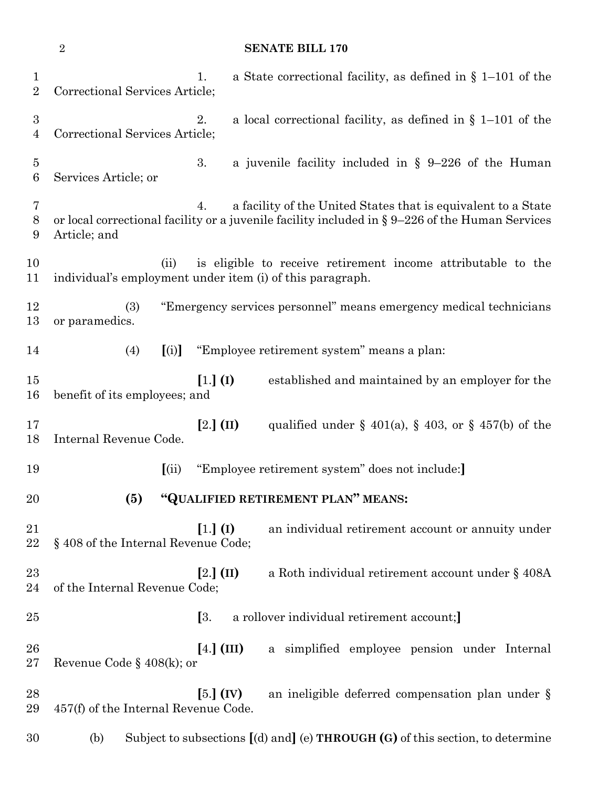### **SENATE BILL 170**

| $\mathbf 1$<br>$\overline{2}$ | a State correctional facility, as defined in $\S$ 1–101 of the<br>1.<br>Correctional Services Article;                                                                                    |
|-------------------------------|-------------------------------------------------------------------------------------------------------------------------------------------------------------------------------------------|
| $\boldsymbol{3}$<br>4         | 2.<br>a local correctional facility, as defined in $\S$ 1–101 of the<br>Correctional Services Article;                                                                                    |
| $\overline{5}$<br>6           | 3.<br>a juvenile facility included in $\S$ 9-226 of the Human<br>Services Article; or                                                                                                     |
| 7<br>8<br>9                   | a facility of the United States that is equivalent to a State<br>4.<br>or local correctional facility or a juvenile facility included in $\S 9-226$ of the Human Services<br>Article; and |
| 10<br>11                      | (ii)<br>is eligible to receive retirement income attributable to the<br>individual's employment under item (i) of this paragraph.                                                         |
| 12<br>13                      | "Emergency services personnel" means emergency medical technicians<br>(3)<br>or paramedics.                                                                                               |
| 14                            | [(i)]<br>"Employee retirement system" means a plan:<br>(4)                                                                                                                                |
| 15<br>16                      | $[1.]$ (I)<br>established and maintained by an employer for the<br>benefit of its employees; and                                                                                          |
| 17<br>18                      | $[2.]$ (II)<br>qualified under $\S$ 401(a), $\S$ 403, or $\S$ 457(b) of the<br>Internal Revenue Code.                                                                                     |
| 19                            | (i)<br>"Employee retirement system" does not include:                                                                                                                                     |
| 20                            | "QUALIFIED RETIREMENT PLAN" MEANS:<br>(5)                                                                                                                                                 |
| 21<br>22                      | $[1.]$ (I)<br>an individual retirement account or annuity under<br>§408 of the Internal Revenue Code;                                                                                     |
| 23<br>24                      | a Roth individual retirement account under § 408A<br>$[2.]$ (II)<br>of the Internal Revenue Code;                                                                                         |
| $25\,$                        | [3]<br>a rollover individual retirement account;                                                                                                                                          |
| 26<br>$27\,$                  | $[4.]$ (III)<br>a simplified employee pension under Internal<br>Revenue Code § $408(k)$ ; or                                                                                              |
| 28<br>29                      | $[5.]$ (IV)<br>an ineligible deferred compensation plan under §<br>457(f) of the Internal Revenue Code.                                                                                   |
| 30                            | Subject to subsections $[(d)$ and $](e)$ THROUGH $(G)$ of this section, to determine<br>(b)                                                                                               |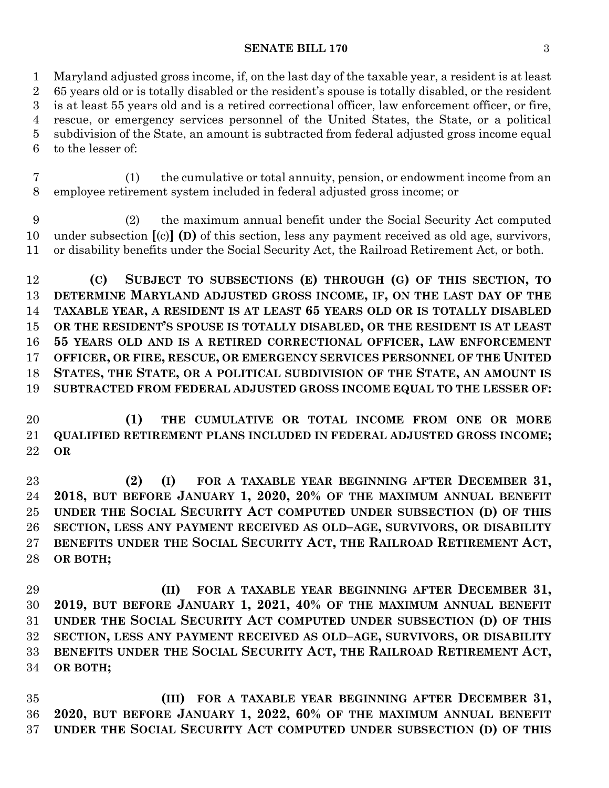#### **SENATE BILL 170** 3

 Maryland adjusted gross income, if, on the last day of the taxable year, a resident is at least 65 years old or is totally disabled or the resident's spouse is totally disabled, or the resident is at least 55 years old and is a retired correctional officer, law enforcement officer, or fire, rescue, or emergency services personnel of the United States, the State, or a political subdivision of the State, an amount is subtracted from federal adjusted gross income equal to the lesser of:

 (1) the cumulative or total annuity, pension, or endowment income from an employee retirement system included in federal adjusted gross income; or

 (2) the maximum annual benefit under the Social Security Act computed under subsection **[**(c)**] (D)** of this section, less any payment received as old age, survivors, or disability benefits under the Social Security Act, the Railroad Retirement Act, or both.

 **(C) SUBJECT TO SUBSECTIONS (E) THROUGH (G) OF THIS SECTION, TO DETERMINE MARYLAND ADJUSTED GROSS INCOME, IF, ON THE LAST DAY OF THE TAXABLE YEAR, A RESIDENT IS AT LEAST 65 YEARS OLD OR IS TOTALLY DISABLED OR THE RESIDENT'S SPOUSE IS TOTALLY DISABLED, OR THE RESIDENT IS AT LEAST 55 YEARS OLD AND IS A RETIRED CORRECTIONAL OFFICER, LAW ENFORCEMENT OFFICER, OR FIRE, RESCUE, OR EMERGENCY SERVICES PERSONNEL OF THE UNITED STATES, THE STATE, OR A POLITICAL SUBDIVISION OF THE STATE, AN AMOUNT IS SUBTRACTED FROM FEDERAL ADJUSTED GROSS INCOME EQUAL TO THE LESSER OF:**

 **(1) THE CUMULATIVE OR TOTAL INCOME FROM ONE OR MORE QUALIFIED RETIREMENT PLANS INCLUDED IN FEDERAL ADJUSTED GROSS INCOME; OR**

 **(2) (I) FOR A TAXABLE YEAR BEGINNING AFTER DECEMBER 31, 2018, BUT BEFORE JANUARY 1, 2020, 20% OF THE MAXIMUM ANNUAL BENEFIT UNDER THE SOCIAL SECURITY ACT COMPUTED UNDER SUBSECTION (D) OF THIS SECTION, LESS ANY PAYMENT RECEIVED AS OLD–AGE, SURVIVORS, OR DISABILITY BENEFITS UNDER THE SOCIAL SECURITY ACT, THE RAILROAD RETIREMENT ACT, OR BOTH;**

 **(II) FOR A TAXABLE YEAR BEGINNING AFTER DECEMBER 31, 2019, BUT BEFORE JANUARY 1, 2021, 40% OF THE MAXIMUM ANNUAL BENEFIT UNDER THE SOCIAL SECURITY ACT COMPUTED UNDER SUBSECTION (D) OF THIS SECTION, LESS ANY PAYMENT RECEIVED AS OLD–AGE, SURVIVORS, OR DISABILITY BENEFITS UNDER THE SOCIAL SECURITY ACT, THE RAILROAD RETIREMENT ACT, OR BOTH;**

 **(III) FOR A TAXABLE YEAR BEGINNING AFTER DECEMBER 31, 2020, BUT BEFORE JANUARY 1, 2022, 60% OF THE MAXIMUM ANNUAL BENEFIT UNDER THE SOCIAL SECURITY ACT COMPUTED UNDER SUBSECTION (D) OF THIS**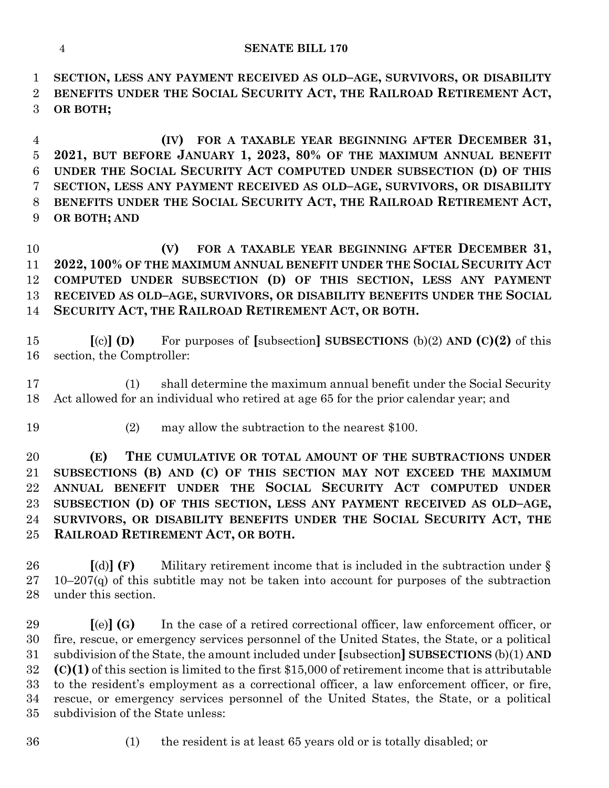**SECTION, LESS ANY PAYMENT RECEIVED AS OLD–AGE, SURVIVORS, OR DISABILITY BENEFITS UNDER THE SOCIAL SECURITY ACT, THE RAILROAD RETIREMENT ACT, OR BOTH;**

 **(IV) FOR A TAXABLE YEAR BEGINNING AFTER DECEMBER 31, 2021, BUT BEFORE JANUARY 1, 2023, 80% OF THE MAXIMUM ANNUAL BENEFIT UNDER THE SOCIAL SECURITY ACT COMPUTED UNDER SUBSECTION (D) OF THIS SECTION, LESS ANY PAYMENT RECEIVED AS OLD–AGE, SURVIVORS, OR DISABILITY BENEFITS UNDER THE SOCIAL SECURITY ACT, THE RAILROAD RETIREMENT ACT, OR BOTH; AND**

 **(V) FOR A TAXABLE YEAR BEGINNING AFTER DECEMBER 31, 2022, 100% OF THE MAXIMUM ANNUAL BENEFIT UNDER THE SOCIAL SECURITY ACT COMPUTED UNDER SUBSECTION (D) OF THIS SECTION, LESS ANY PAYMENT RECEIVED AS OLD–AGE, SURVIVORS, OR DISABILITY BENEFITS UNDER THE SOCIAL SECURITY ACT, THE RAILROAD RETIREMENT ACT, OR BOTH.**

 **[**(c)**] (D)** For purposes of **[**subsection**] SUBSECTIONS** (b)(2) **AND (C)(2)** of this section, the Comptroller:

 (1) shall determine the maximum annual benefit under the Social Security Act allowed for an individual who retired at age 65 for the prior calendar year; and

(2) may allow the subtraction to the nearest \$100.

 **(E) THE CUMULATIVE OR TOTAL AMOUNT OF THE SUBTRACTIONS UNDER SUBSECTIONS (B) AND (C) OF THIS SECTION MAY NOT EXCEED THE MAXIMUM ANNUAL BENEFIT UNDER THE SOCIAL SECURITY ACT COMPUTED UNDER SUBSECTION (D) OF THIS SECTION, LESS ANY PAYMENT RECEIVED AS OLD–AGE, SURVIVORS, OR DISABILITY BENEFITS UNDER THE SOCIAL SECURITY ACT, THE RAILROAD RETIREMENT ACT, OR BOTH.**

 **[**(d)**] (F)** Military retirement income that is included in the subtraction under § 27 10–207 $(q)$  of this subtitle may not be taken into account for purposes of the subtraction under this section.

 **[**(e)**] (G)** In the case of a retired correctional officer, law enforcement officer, or fire, rescue, or emergency services personnel of the United States, the State, or a political subdivision of the State, the amount included under **[**subsection**] SUBSECTIONS** (b)(1) **AND (C)(1)** of this section is limited to the first \$15,000 of retirement income that is attributable to the resident's employment as a correctional officer, a law enforcement officer, or fire, rescue, or emergency services personnel of the United States, the State, or a political subdivision of the State unless:

- 
- (1) the resident is at least 65 years old or is totally disabled; or